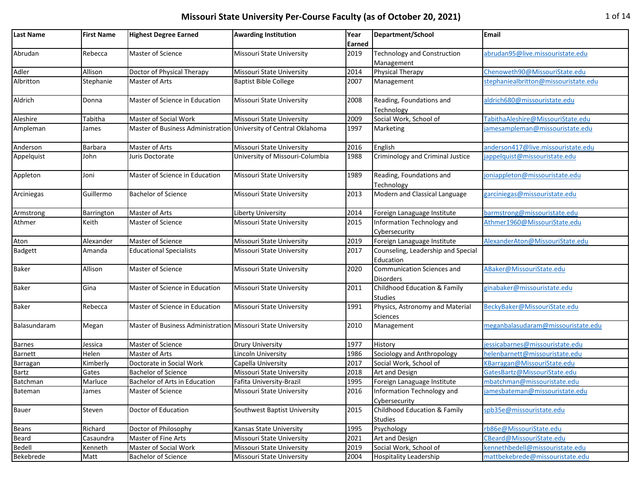| Last Name    | <b>First Name</b> | <b>Highest Degree Earned</b>                                     | <b>Awarding Institution</b>      | Year   | Department/School                               | <b>Email</b>                         |
|--------------|-------------------|------------------------------------------------------------------|----------------------------------|--------|-------------------------------------------------|--------------------------------------|
|              |                   |                                                                  |                                  | Earned |                                                 |                                      |
| Abrudan      | Rebecca           | Master of Science                                                | <b>Missouri State University</b> | 2019   | <b>Technology and Construction</b>              | abrudan95@live.missouristate.edu     |
|              |                   |                                                                  |                                  |        | Management                                      |                                      |
| Adler        | Allison           | Doctor of Physical Therapy                                       | Missouri State University        | 2014   | <b>Physical Therapy</b>                         | Chenoweth90@MissouriState.edu        |
| Albritton    | Stephanie         | Master of Arts                                                   | <b>Baptist Bible College</b>     | 2007   | Management                                      | stephaniealbritton@missouristate.edu |
| Aldrich      | Donna             | Master of Science in Education                                   | Missouri State University        | 2008   | Reading, Foundations and<br><b>Technology</b>   | aldrich680@missouristate.edu         |
| Aleshire     | Tabitha           | Master of Social Work                                            | Missouri State University        | 2009   | Social Work, School of                          | Tabitha Aleshire@MissouriState.edu   |
| Ampleman     | James             | Master of Business Administration University of Central Oklahoma |                                  | 1997   | Marketing                                       | jamesampleman@missouristate.edu      |
|              |                   |                                                                  |                                  |        |                                                 |                                      |
| Anderson     | <b>Barbara</b>    | Master of Arts                                                   | Missouri State University        | 2016   | English                                         | anderson417@live.missouristate.edu   |
| Appelquist   | John              | Juris Doctorate                                                  | University of Missouri-Columbia  | 1988   | Criminology and Criminal Justice                | jappelquist@missouristate.edu        |
| Appleton     | Joni              | Master of Science in Education                                   | Missouri State University        | 1989   | Reading, Foundations and                        | joniappleton@missouristate.edu       |
|              |                   |                                                                  |                                  |        | Technology                                      |                                      |
| Arciniegas   | Guillermo         | <b>Bachelor of Science</b>                                       | Missouri State University        | 2013   | Modern and Classical Language                   | garciniegas@missouristate.edu        |
| Armstrong    | Barrington        | Master of Arts                                                   | Liberty University               | 2014   | Foreign Lanaguage Institute                     | barmstrong@missouristate.edu         |
| Athmer       | Keith             | Master of Science                                                | Missouri State University        | 2015   | Information Technology and                      | Athmer1960@MissouriState.edu         |
|              |                   |                                                                  |                                  |        | Cybersecurity                                   |                                      |
| Aton         | Alexander         | Master of Science                                                | Missouri State University        | 2019   | Foreign Lanaguage Institute                     | AlexanderAton@MissouriState.edu      |
| Badgett      | Amanda            | <b>Educational Specialists</b>                                   | Missouri State University        | 2017   | Counseling, Leadership and Special<br>Education |                                      |
| Baker        | Allison           | <b>Master of Science</b>                                         | Missouri State University        | 2020   | <b>Communication Sciences and</b>               | ABaker@MissouriState.edu             |
|              |                   |                                                                  |                                  |        | <b>Disorders</b>                                |                                      |
| Baker        | Gina              | Master of Science in Education                                   | <b>Missouri State University</b> | 2011   | Childhood Education & Family<br><b>Studies</b>  | ginabaker@missouristate.edu          |
| Baker        | Rebecca           | Master of Science in Education                                   | <b>Missouri State University</b> | 1991   | Physics, Astronomy and Material                 | BeckyBaker@MissouriState.edu         |
|              |                   |                                                                  |                                  |        | <b>Sciences</b>                                 |                                      |
| Balasundaram | Megan             | Master of Business Administration Missouri State University      |                                  | 2010   | Management                                      | meganbalasudaram@missouristate.edu   |
| Barnes       | Jessica           | Master of Science                                                | <b>Drury University</b>          | 1977   | History                                         | iessicabarnes@missouristate.edu      |
| Barnett      | Helen             | Master of Arts                                                   | Lincoln University               | 1986   | Sociology and Anthropology                      | helenbarnett@missouristate.edu       |
| Barragan     | Kimberly          | Doctorate in Social Work                                         | Capella University               | 2017   | Social Work, School of                          | KBarragan@MissouriState.edu          |
| Bartz        | Gates             | <b>Bachelor of Science</b>                                       | Missouri State University        | 2018   | Art and Design                                  | GatesBartz@MissouriState.edu         |
| Batchman     | Marluce           | Bachelor of Arts in Education                                    | Fafita University-Brazil         | 1995   | Foreign Lanaguage Institute                     | mbatchman@missouristate.edu          |
| Bateman      | James             | <b>Master of Science</b>                                         | Missouri State University        | 2016   | Information Technology and                      | jamesbateman@missouristate.edu       |
|              |                   |                                                                  |                                  |        | Cybersecurity                                   |                                      |
| Bauer        | Steven            | Doctor of Education                                              | Southwest Baptist University     | 2015   | Childhood Education & Family                    | spb35e@missouristate.edu             |
|              |                   |                                                                  |                                  |        | <b>Studies</b>                                  |                                      |
| Beans        | Richard           | Doctor of Philosophy                                             | Kansas State University          | 1995   | Psychology                                      | rb86e@MissouriState.edu              |
| Beard        | Casaundra         | Master of Fine Arts                                              | <b>Missouri State University</b> | 2021   | Art and Design                                  | CBeard@MissouriState.edu             |
| Bedell       | Kenneth           | Master of Social Work                                            | Missouri State University        | 2019   | Social Work, School of                          | kennethbedell@missouristate.edu      |
| Bekebrede    | Matt              | <b>Bachelor of Science</b>                                       | <b>Missouri State University</b> | 2004   | <b>Hospitality Leadership</b>                   | mattbekebrede@missouristate.edu      |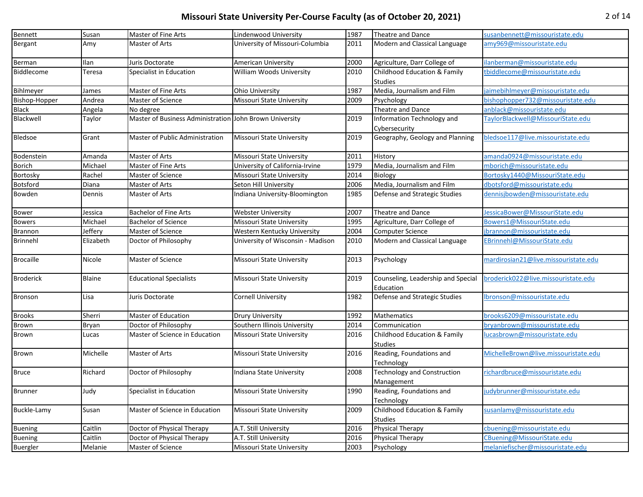| <b>Bennett</b>   | Susan         | Master of Fine Arts                                     | Lindenwood University             | 1987 | Theatre and Dance                                         | susanbennett@missouristate.edu       |
|------------------|---------------|---------------------------------------------------------|-----------------------------------|------|-----------------------------------------------------------|--------------------------------------|
| Bergant          | Amy           | Master of Arts                                          | University of Missouri-Columbia   | 2011 | Modern and Classical Language                             | amy969@missouristate.edu             |
| Berman           | Ilan          | Juris Doctorate                                         | American University               | 2000 | Agriculture, Darr College of                              | ilanberman@missouristate.edu         |
| Biddlecome       | Teresa        | Specialist in Education                                 | William Woods University          | 2010 | <b>Childhood Education &amp; Family</b><br><b>Studies</b> | tbiddlecome@missouristate.edu        |
| Bihlmeyer        | James         | Master of Fine Arts                                     | <b>Ohio University</b>            | 1987 | Media, Journalism and Film                                | jaimebihlmeyer@missouristate.edu     |
| Bishop-Hopper    | Andrea        | Master of Science                                       | Missouri State University         | 2009 | Psychology                                                | bishophopper732@missouristate.edu    |
| Black            | Angela        | No degree                                               |                                   |      | Theatre and Dance                                         | anblack@missouristate.edu            |
| Blackwell        | Taylor        | Master of Business Administration John Brown University |                                   | 2019 | Information Technology and<br>Cybersecurity               | TaylorBlackwell@MissouriState.edu    |
| Bledsoe          | Grant         | Master of Public Administration                         | Missouri State University         | 2019 | Geography, Geology and Planning                           | bledsoe117@live.missouristate.edu    |
| Bodenstein       | Amanda        | Master of Arts                                          | Missouri State University         | 2011 | <b>History</b>                                            | amanda0924@missouristate.edu         |
| Borich           | Michael       | Master of Fine Arts                                     | University of California-Irvine   | 1979 | Media, Journalism and Film                                | mborich@missouristate.edu            |
| Bortosky         | Rachel        | Master of Science                                       | Missouri State University         | 2014 | <b>Biology</b>                                            | Bortosky1440@MissouriState.edu       |
| <b>Botsford</b>  | Diana         | Master of Arts                                          | Seton Hill University             | 2006 | Media, Journalism and Film                                | dbotsford@missouristate.edu          |
| Bowden           | Dennis        | Master of Arts                                          | Indiana University-Bloomington    | 1985 | Defense and Strategic Studies                             | dennisjbowden@missouristate.edu      |
| Bower            | Jessica       | <b>Bachelor of Fine Arts</b>                            | <b>Webster University</b>         | 2007 | Theatre and Dance                                         | JessicaBower@MissouriState.edu       |
| <b>Bowers</b>    | Michael       | <b>Bachelor of Science</b>                              | Missouri State University         | 1995 | Agriculture, Darr College of                              | Bowers1@MissouriState.edu            |
| Brannon          | Jeffery       | Master of Science                                       | Western Kentucky University       | 2004 | Computer Science                                          | ibrannon@missouristate.edu           |
| Brinnehl         | Elizabeth     | Doctor of Philosophy                                    | University of Wisconsin - Madison | 2010 | Modern and Classical Language                             | EBrinnehl@MissouriState.edu          |
| <b>Brocaille</b> | Nicole        | Master of Science                                       | Missouri State University         | 2013 | Psychology                                                | mardirosian21@live.missouristate.edu |
| <b>Broderick</b> | <b>Blaine</b> | <b>Educational Specialists</b>                          | Missouri State University         | 2019 | Counseling, Leadership and Special<br>Education           | broderick022@live.missouristate.edu  |
| Bronson          | Lisa          | Juris Doctorate                                         | <b>Cornell University</b>         | 1982 | Defense and Strategic Studies                             | lbronson@missouristate.edu           |
| <b>Brooks</b>    | Sherri        | Master of Education                                     | <b>Drury University</b>           | 1992 | Mathematics                                               | brooks6209@missouristate.edu         |
| Brown            | Bryan         | Doctor of Philosophy                                    | Southern Illinois University      | 2014 | Communication                                             | bryanbrown@missouristate.edu         |
| Brown            | Lucas         | Master of Science in Education                          | Missouri State University         | 2016 | Childhood Education & Family<br>Studies                   | lucasbrown@missouristate.edu         |
| Brown            | Michelle      | Master of Arts                                          | Missouri State University         | 2016 | Reading, Foundations and<br>Technology                    | MichelleBrown@live.missouristate.edu |
| <b>Bruce</b>     | Richard       | Doctor of Philosophy                                    | Indiana State University          | 2008 | <b>Technology and Construction</b><br>Management          | richardbruce@missouristate.edu       |
| <b>Brunner</b>   | Judy          | Specialist in Education                                 | Missouri State University         | 1990 | Reading, Foundations and<br>Technology                    | judybrunner@missouristate.edu        |
| Buckle-Lamy      | Susan         | Master of Science in Education                          | Missouri State University         | 2009 | Childhood Education & Family<br><b>Studies</b>            | susanlamy@missouristate.edu          |
| <b>Buening</b>   | Caitlin       | Doctor of Physical Therapy                              | A.T. Still University             | 2016 | <b>Physical Therapy</b>                                   | cbuening@missouristate.edu           |
| <b>Buening</b>   | Caitlin       | Doctor of Physical Therapy                              | A.T. Still University             | 2016 | <b>Physical Therapy</b>                                   | CBuening@MissouriState.edu           |
| <b>Buergler</b>  | Melanie       | Master of Science                                       | Missouri State University         | 2003 | Psychology                                                | melaniefischer@missouristate.edu     |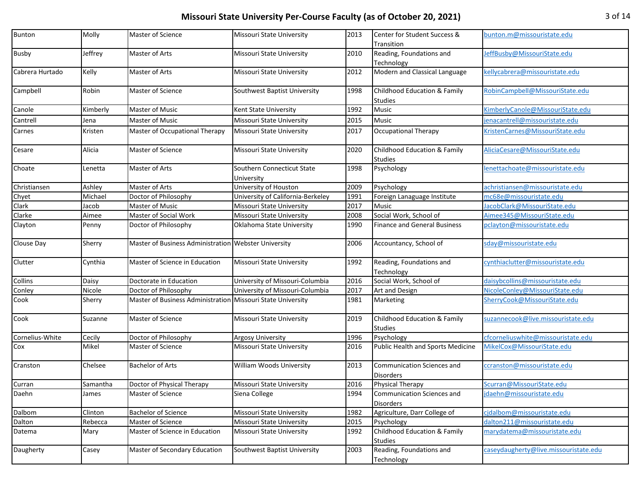| Bunton          | Molly        | <b>Master of Science</b>                                    | Missouri State University                | 2013 | Center for Student Success &<br>Transition            | bunton.m@missouristate.edu            |
|-----------------|--------------|-------------------------------------------------------------|------------------------------------------|------|-------------------------------------------------------|---------------------------------------|
| Busby           | Jeffrey      | Master of Arts                                              | Missouri State University                | 2010 | Reading, Foundations and<br>Technology                | leffBusby@MissouriState.edu           |
| Cabrera Hurtado | Kelly        | Master of Arts                                              | Missouri State University                | 2012 | Modern and Classical Language                         | kellycabrera@missouristate.edu        |
| Campbell        | Robin        | Master of Science                                           | Southwest Baptist University             | 1998 | Childhood Education & Family<br><b>Studies</b>        | RobinCampbell@MissouriState.edu       |
| Canole          | Kimberly     | Master of Music                                             | Kent State University                    | 1992 | <b>Music</b>                                          | KimberlyCanole@MissouriState.edu      |
| Cantrell        | Jena         | Master of Music                                             | Missouri State University                | 2015 | Music                                                 | jenacantrell@missouristate.edu        |
| Carnes          | Kristen      | Master of Occupational Therapy                              | Missouri State University                | 2017 | <b>Occupational Therapy</b>                           | Kristen Carnes @Missouri State.edu    |
| Cesare          | Alicia       | <b>Master of Science</b>                                    | Missouri State University                | 2020 | Childhood Education & Family<br><b>Studies</b>        | AliciaCesare@MissouriState.edu        |
| Choate          | Lenetta      | Master of Arts                                              | Southern Connecticut State<br>University | 1998 | Psychology                                            | lenettachoate@missouristate.edu       |
| Christiansen    | Ashley       | <b>Master of Arts</b>                                       | University of Houston                    | 2009 | Psychology                                            | achristiansen@missouristate.edu       |
| Chyet           | Michael      | Doctor of Philosophy                                        | University of California-Berkeley        | 1991 | Foreign Lanaguage Institute                           | mc68e@missouristate.edu               |
| Clark           | Jacob        | Master of Music                                             | Missouri State University                | 2017 | <b>Music</b>                                          | JacobClark@MissouriState.edu          |
| Clarke          | Aimee        | Master of Social Work                                       | Missouri State University                | 2008 | Social Work, School of                                | Aimee345@MissouriState.edu            |
| Clayton         | Penny        | Doctor of Philosophy                                        | Oklahoma State University                | 1990 | <b>Finance and General Business</b>                   | pclayton@missouristate.edu            |
| Clouse Day      | Sherry       | Master of Business Administration Webster University        |                                          | 2006 | Accountancy, School of                                | sday@missouristate.edu                |
| Clutter         | Cynthia      | Master of Science in Education                              | Missouri State University                | 1992 | Reading, Foundations and<br>Technology                | cynthiaclutter@missouristate.edu      |
| Collins         | Daisy        | Doctorate in Education                                      | University of Missouri-Columbia          | 2016 | Social Work, School of                                | daisybcollins@missouristate.edu       |
| Conley          | Nicole       | Doctor of Philosophy                                        | University of Missouri-Columbia          | 2017 | Art and Design                                        | NicoleConley@MissouriState.edu        |
| Cook            | Sherry       | Master of Business Administration Missouri State University |                                          | 1981 | Marketing                                             | SherryCook@MissouriState.edu          |
| Cook            | Suzanne      | Master of Science                                           | Missouri State University                | 2019 | Childhood Education & Family<br><b>Studies</b>        | suzannecook@live.missouristate.edu    |
| Cornelius-White | Cecily       | Doctor of Philosophy                                        | <b>Argosy University</b>                 | 1996 | Psychology                                            | cfcorneliuswhite@missouristate.edu    |
| Cox             | Mikel        | Master of Science                                           | Missouri State University                | 2016 | Public Health and Sports Medicine                     | MikelCox@MissouriState.edu            |
| Cranston        | Chelsee      | <b>Bachelor of Arts</b>                                     | William Woods University                 | 2013 | <b>Communication Sciences and</b><br><b>Disorders</b> | ccranston@missouristate.edu           |
| Curran          | Samantha     | Doctor of Physical Therapy                                  | Missouri State University                | 2016 | Physical Therapy                                      | Scurran@MissouriState.edu             |
| Daehn           | <b>James</b> | Master of Science                                           | Siena College                            | 1994 | Communication Sciences and<br><b>Disorders</b>        | idaehn@missouristate.edu              |
| Dalbom          | Clinton      | <b>Bachelor of Science</b>                                  | Missouri State University                | 1982 | Agriculture, Darr College of                          | cjdalbom@missouristate.edu            |
| Dalton          | Rebecca      | Master of Science                                           | Missouri State University                | 2015 | Psychology                                            | dalton211@missouristate.edu           |
| Datema          | Mary         | Master of Science in Education                              | Missouri State University                | 1992 | Childhood Education & Family<br><b>Studies</b>        | marydatema@missouristate.edu          |
| Daugherty       | Casey        | Master of Secondary Education                               | Southwest Baptist University             | 2003 | Reading, Foundations and<br>Technology                | caseydaugherty@live.missouristate.edu |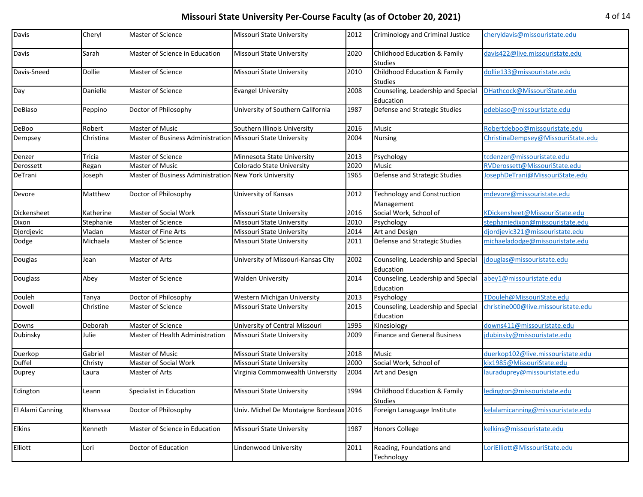| Davis            | Cheryl    | Master of Science                                           | Missouri State University               | 2012 | Criminology and Criminal Justice                 | cheryldavis@missouristate.edu       |
|------------------|-----------|-------------------------------------------------------------|-----------------------------------------|------|--------------------------------------------------|-------------------------------------|
| Davis            | Sarah     | Master of Science in Education                              | Missouri State University               | 2020 | Childhood Education & Family<br><b>Studies</b>   | davis422@live.missouristate.edu     |
| Davis-Sneed      | Dollie    | Master of Science                                           | Missouri State University               | 2010 | Childhood Education & Family<br><b>Studies</b>   | dollie133@missouristate.edu         |
| Day              | Danielle  | Master of Science                                           | <b>Evangel University</b>               | 2008 | Counseling, Leadership and Special<br>Education  | DHathcock@MissouriState.edu         |
| DeBiaso          | Peppino   | Doctor of Philosophy                                        | University of Southern California       | 1987 | Defense and Strategic Studies                    | pdebiaso@missouristate.edu          |
| DeBoo            | Robert    | <b>Master of Music</b>                                      | Southern Illinois University            | 2016 | Music                                            | Robertdeboo@missouristate.edu       |
| Dempsey          | Christina | Master of Business Administration Missouri State University |                                         | 2004 | <b>Nursing</b>                                   | ChristinaDempsey@MissouriState.edu  |
| Denzer           | Tricia    | Master of Science                                           | Minnesota State University              | 2013 | Psychology                                       | tcdenzer@missouristate.edu          |
| Derossett        | Regan     | Master of Music                                             | Colorado State University               | 2020 | Music                                            | RVDerossett@MissouriState.edu       |
| DeTrani          | Joseph    | Master of Business Administration New York University       |                                         | 1965 | Defense and Strategic Studies                    | JosephDeTrani@MissouriState.edu     |
| Devore           | Matthew   | Doctor of Philosophy                                        | University of Kansas                    | 2012 | <b>Technology and Construction</b><br>Management | mdevore@missouristate.edu           |
| Dickensheet      | Katherine | Master of Social Work                                       | Missouri State University               | 2016 | Social Work, School of                           | KDickensheet@MissouriState.edu      |
| Dixon            | Stephanie | Master of Science                                           | Missouri State University               | 2010 | Psychology                                       | stephaniedixon@missouristate.edu    |
| Djordjevic       | Vladan    | Master of Fine Arts                                         | Missouri State University               | 2014 | Art and Design                                   | djordjevic321@missouristate.edu     |
| Dodge            | Michaela  | Master of Science                                           | Missouri State University               | 2011 | Defense and Strategic Studies                    | michaeladodge@missouristate.edu     |
| Douglas          | Jean      | Master of Arts                                              | University of Missouri-Kansas City      | 2002 | Counseling, Leadership and Special<br>Education  | idouglas@missouristate.edu          |
| Douglass         | Abey      | Master of Science                                           | <b>Walden University</b>                | 2014 | Counseling, Leadership and Special<br>Education  | abey1@missouristate.edu             |
| Douleh           | Tanya     | Doctor of Philosophy                                        | Western Michigan University             | 2013 | Psychology                                       | TDouleh@MissouriState.edu           |
| Dowell           | Christine | Master of Science                                           | Missouri State University               | 2015 | Counseling, Leadership and Special<br>Education  | christine000@live.missouristate.edu |
| Downs            | Deborah   | Master of Science                                           | University of Central Missouri          | 1995 | Kinesiology                                      | downs411@missouristate.edu          |
| Dubinsky         | Julie     | Master of Health Administration                             | Missouri State University               | 2009 | <b>Finance and General Business</b>              | jdubinsky@missouristate.edu         |
| Duerkop          | Gabriel   | Master of Music                                             | Missouri State University               | 2018 | Music                                            | duerkop102@live.missouristate.edu   |
| Duffel           | Christy   | Master of Social Work                                       | Missouri State University               | 2000 | Social Work, School of                           | kix1985@MissouriState.edu           |
| Duprey           | Laura     | Master of Arts                                              | Virginia Commonwealth University        | 2004 | Art and Design                                   | lauraduprey@missouristate.edu       |
| Edington         | Leann     | Specialist in Education                                     | Missouri State University               | 1994 | Childhood Education & Family<br><b>Studies</b>   | ledington@missouristate.edu         |
| El Alami Canning | Khanssaa  | Doctor of Philosophy                                        | Univ. Michel De Montaigne Bordeaux 2016 |      | Foreign Lanaguage Institute                      | kelalamicanning@missouristate.edu   |
| Elkins           | Kenneth   | Master of Science in Education                              | Missouri State University               | 1987 | <b>Honors College</b>                            | kelkins@missouristate.edu           |
| Elliott          | Lori      | Doctor of Education                                         | Lindenwood University                   | 2011 | Reading, Foundations and<br>Technology           | LoriElliott@MissouriState.edu       |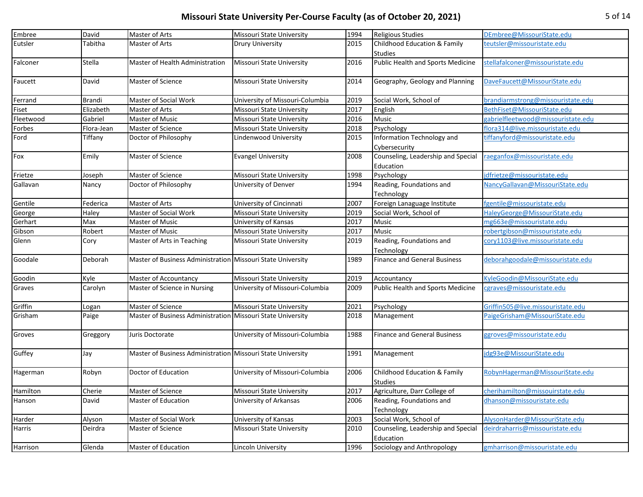| Embree    | David         | Master of Arts                                              | Missouri State University       | 1994 | <b>Religious Studies</b>            | DEmbree@MissouriState.edu          |
|-----------|---------------|-------------------------------------------------------------|---------------------------------|------|-------------------------------------|------------------------------------|
| Eutsler   | Tabitha       | Master of Arts                                              | Drury University                | 2015 | Childhood Education & Family        | teutsler@missouristate.edu         |
|           |               |                                                             |                                 |      | <b>Studies</b>                      |                                    |
| Falconer  | <b>Stella</b> | Master of Health Administration                             | Missouri State University       | 2016 | Public Health and Sports Medicine   | stellafalconer@missouristate.edu   |
|           |               |                                                             |                                 |      |                                     |                                    |
| Faucett   | David         | Master of Science                                           | Missouri State University       | 2014 | Geography, Geology and Planning     | DaveFaucett@MissouriState.edu      |
|           |               |                                                             |                                 |      |                                     |                                    |
| Ferrand   | Brandi        | <b>Master of Social Work</b>                                | University of Missouri-Columbia | 2019 | Social Work, School of              | brandiarmstrong@missouristate.edu  |
| Fiset     | Elizabeth     | Master of Arts                                              | Missouri State University       | 2017 | English                             | BethFiset@MissouriState.edu        |
| Fleetwood | Gabriel       | Master of Music                                             | Missouri State University       | 2016 | Music                               | gabrielfleetwood@missouristate.edu |
| Forbes    | Flora-Jean    | Master of Science                                           | Missouri State University       | 2018 | Psychology                          | flora314@live.missouristate.edu    |
| Ford      | Tiffany       | Doctor of Philosophy                                        | Lindenwood University           | 2015 | Information Technology and          | tiffanyford@missouristate.edu      |
|           |               |                                                             |                                 |      | Cybersecurity                       |                                    |
| Fox       | Emily         | Master of Science                                           | <b>Evangel University</b>       | 2008 | Counseling, Leadership and Special  | raeganfox@missouristate.edu        |
|           |               |                                                             |                                 |      | Education                           |                                    |
| Frietze   | Joseph        | Master of Science                                           | Missouri State University       | 1998 | Psychology                          | idfrietze@missouristate.edu        |
| Gallavan  | Nancy         | Doctor of Philosophy                                        | University of Denver            | 1994 | Reading, Foundations and            | NancyGallavan@MissouriState.edu    |
|           |               |                                                             |                                 |      | Technology                          |                                    |
| Gentile   | Federica      | Master of Arts                                              | University of Cincinnati        | 2007 | Foreign Lanaguage Institute         | fgentile@missouristate.edu         |
| George    | Haley         | Master of Social Work                                       | Missouri State University       | 2019 | Social Work, School of              | HaleyGeorge@MissouriState.edu      |
| Gerhart   | Max           | Master of Music                                             | University of Kansas            | 2017 | Music                               | mg663e@missouristate.edu           |
| Gibson    | Robert        | Master of Music                                             | Missouri State University       | 2017 | Music                               | robertgibson@missouristate.edu     |
| Glenn     | Cory          | Master of Arts in Teaching                                  | Missouri State University       | 2019 | Reading, Foundations and            | cory1103@live.missouristate.edu    |
|           |               |                                                             |                                 |      | Technology                          |                                    |
| Goodale   | Deborah       | Master of Business Administration Missouri State University |                                 | 1989 | <b>Finance and General Business</b> | deborahgoodale@missouristate.edu   |
|           |               |                                                             |                                 |      |                                     |                                    |
| Goodin    | Kyle          | Master of Accountancy                                       | Missouri State University       | 2019 | Accountancy                         | KyleGoodin@MissouriState.edu       |
| Graves    | Carolyn       | Master of Science in Nursing                                | University of Missouri-Columbia | 2009 | Public Health and Sports Medicine   | cgraves@missouristate.edu          |
|           |               |                                                             |                                 |      |                                     |                                    |
| Griffin   | Logan         | Master of Science                                           | Missouri State University       | 2021 | Psychology                          | Griffin505@live.missouristate.edu  |
| Grisham   | Paige         | Master of Business Administration                           | Missouri State University       | 2018 | Management                          | PaigeGrisham@MissouriState.edu     |
|           |               |                                                             |                                 |      |                                     |                                    |
| Groves    | Greggory      | Juris Doctorate                                             | University of Missouri-Columbia | 1988 | <b>Finance and General Business</b> | ggroves@missouristate.edu          |
|           |               |                                                             |                                 |      |                                     |                                    |
| Guffey    | Jay           | Master of Business Administration Missouri State University |                                 | 1991 | Management                          | jdg93e@MissouriState.edu           |
|           |               |                                                             |                                 |      |                                     |                                    |
| Hagerman  | Robyn         | Doctor of Education                                         | University of Missouri-Columbia | 2006 | Childhood Education & Family        | RobynHagerman@MissouriState.edu    |
|           |               |                                                             |                                 |      | <b>Studies</b>                      |                                    |
| Hamilton  | Cherie        | Master of Science                                           | Missouri State University       | 2017 | Agriculture, Darr College of        | cherihamilton@missouirstate.edu    |
| Hanson    | David         | <b>Master of Education</b>                                  | University of Arkansas          | 2006 | Reading, Foundations and            | dhanson@missouristate.edu          |
|           |               |                                                             |                                 |      | Technology                          |                                    |
| Harder    | <b>Alyson</b> | Master of Social Work                                       | University of Kansas            | 2003 | Social Work, School of              | AlysonHarder@MissouriState.edu     |
| Harris    | Deirdra       | <b>Master of Science</b>                                    | Missouri State University       | 2010 | Counseling, Leadership and Special  | deirdraharris@missouristate.edu    |
|           |               |                                                             |                                 |      | Education                           |                                    |
| Harrison  | Glenda        | <b>Master of Education</b>                                  | Lincoln University              | 1996 | Sociology and Anthropology          | gmharrison@missouristate.edu       |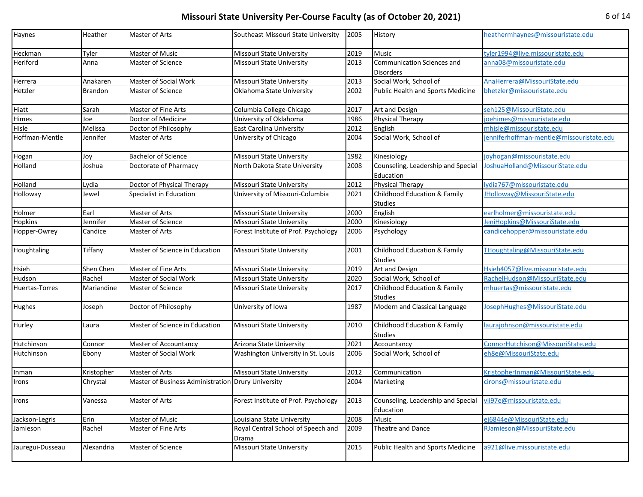| Haynes           | Heather        | Master of Arts                                     | Southeast Missouri State University         | 2005 | History                                               | heathermhaynes@missouristate.edu         |
|------------------|----------------|----------------------------------------------------|---------------------------------------------|------|-------------------------------------------------------|------------------------------------------|
| Heckman          | Tyler          | Master of Music                                    | Missouri State University                   | 2019 | Music                                                 | tyler1994@live.missouristate.edu         |
| Heriford         | Anna           | Master of Science                                  | Missouri State University                   | 2013 | <b>Communication Sciences and</b><br><b>Disorders</b> | anna08@missouristate.edu                 |
| Herrera          | Anakaren       | Master of Social Work                              | Missouri State University                   | 2013 | Social Work, School of                                | AnaHerrera@MissouriState.edu             |
| Hetzler          | <b>Brandon</b> | <b>Master of Science</b>                           | Oklahoma State University                   | 2002 | Public Health and Sports Medicine                     | bhetzler@missouristate.edu               |
| Hiatt            | Sarah          | Master of Fine Arts                                | Columbia College-Chicago                    | 2017 | Art and Design                                        | seh125@MissouriState.edu                 |
| Himes            | Joe            | Doctor of Medicine                                 | University of Oklahoma                      | 1986 | Physical Therapy                                      | joehimes@missouristate.edu               |
| Hisle            | Melissa        | Doctor of Philosophy                               | East Carolina University                    | 2012 | English                                               | mhisle@missouristate.edu                 |
| Hoffman-Mentle   | Jennifer       | <b>Master of Arts</b>                              | University of Chicago                       | 2004 | Social Work, School of                                | jenniferhoffman-mentle@missouristate.edu |
| Hogan            | Joy            | <b>Bachelor of Science</b>                         | Missouri State University                   | 1982 | Kinesiology                                           | joyhogan@missouristate.edu               |
| Holland          | Joshua         | Doctorate of Pharmacy                              | North Dakota State University               | 2008 | Counseling, Leadership and Special<br>Education       | JoshuaHolland@MissouriState.edu          |
| Holland          | Lydia          | Doctor of Physical Therapy                         | Missouri State University                   | 2012 | <b>Physical Therapy</b>                               | lydia767@missouristate.edu               |
| Holloway         | Jewel          | Specialist in Education                            | University of Missouri-Columbia             | 2021 | Childhood Education & Family<br><b>Studies</b>        | JHolloway@MissouriState.edu              |
| Holmer           | Earl           | Master of Arts                                     | Missouri State University                   | 2000 | English                                               | earlholmer@missouristate.edu             |
| <b>Hopkins</b>   | Jennifer       | Master of Science                                  | Missouri State University                   | 2000 | Kinesiology                                           | JeniHopkins@MissouriState.edu            |
| Hopper-Owrey     | Candice        | <b>Master of Arts</b>                              | Forest Institute of Prof. Psychology        | 2006 | Psychology                                            | candicehopper@missouristate.edu          |
| Houghtaling      | Tiffany        | Master of Science in Education                     | Missouri State University                   | 2001 | Childhood Education & Family<br><b>Studies</b>        | THoughtaling@MissouriState.edu           |
| Hsieh            | Shen Chen      | Master of Fine Arts                                | Missouri State University                   | 2019 | Art and Design                                        | Hsieh4057@live.missouristate.edu         |
| Hudson           | Rachel         | Master of Social Work                              | Missouri State University                   | 2020 | Social Work, School of                                | RachelHudson@MissouriState.edu           |
| Huertas-Torres   | Mariandine     | <b>Master of Science</b>                           | Missouri State University                   | 2017 | Childhood Education & Family<br><b>Studies</b>        | mhuertas@missouristate.edu               |
| Hughes           | Joseph         | Doctor of Philosophy                               | University of Iowa                          | 1987 | Modern and Classical Language                         | JosephHughes@MissouriState.edu           |
| Hurley           | Laura          | Master of Science in Education                     | Missouri State University                   | 2010 | Childhood Education & Family<br><b>Studies</b>        | laurajohnson@missouristate.edu           |
| Hutchinson       | Connor         | Master of Accountancy                              | Arizona State University                    | 2021 | Accountancy                                           | ConnorHutchison@MissouriState.edu        |
| Hutchinson       | Ebony          | Master of Social Work                              | Washington University in St. Louis          | 2006 | Social Work, School of                                | eh8e@MissouriState.edu                   |
| Inman            | Kristopher     | Master of Arts                                     | Missouri State University                   | 2012 | Communication                                         | KristopherInman@MissouriState.edu        |
| Irons            | Chrystal       | Master of Business Administration Drury University |                                             | 2004 | Marketing                                             | cirons@missouristate.edu                 |
| Irons            | Vanessa        | Master of Arts                                     | Forest Institute of Prof. Psychology        | 2013 | Counseling, Leadership and Special<br>Education       | vli97e@missouristate.edu                 |
| Jackson-Legris   | Erin           | Master of Music                                    | Louisiana State University                  | 2008 | Music                                                 | ej6844e@MissouriState.edu                |
| Jamieson         | Rachel         | Master of Fine Arts                                | Royal Central School of Speech and<br>Drama | 2009 | Theatre and Dance                                     | RJamieson@MissouriState.edu              |
| Jauregui-Dusseau | Alexandria     | Master of Science                                  | Missouri State University                   | 2015 | Public Health and Sports Medicine                     | a921@live.missouristate.edu              |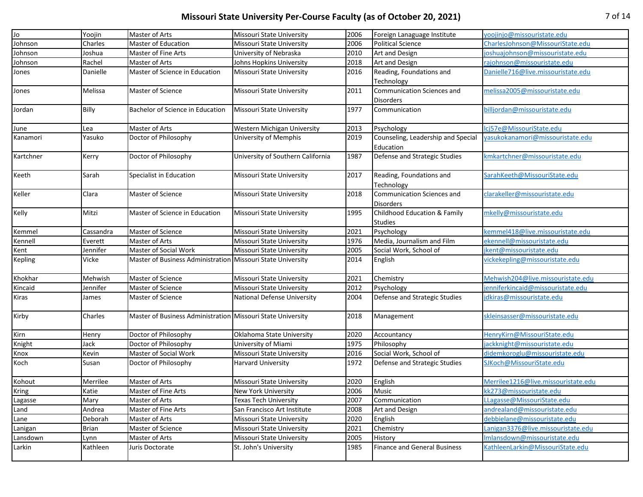| Jo             | Yoojin       | Master of Arts                                              | Missouri State University          | 2006 | Foreign Lanaguage Institute        | yoojinjo@missouristate.edu          |
|----------------|--------------|-------------------------------------------------------------|------------------------------------|------|------------------------------------|-------------------------------------|
| Johnson        | Charles      | <b>Master of Education</b>                                  | Missouri State University          | 2006 | <b>Political Science</b>           | CharlesJohnson@MissouriState.edu    |
| Johnson        | Joshua       | Master of Fine Arts                                         | University of Nebraska             | 2010 | Art and Design                     | ioshuaiohnson@missouristate.edu     |
| Johnson        | Rachel       | Master of Arts                                              | Johns Hopkins University           | 2018 | Art and Design                     | rajohnson@missouristate.edu         |
| Jones          | Danielle     | Master of Science in Education                              | <b>Missouri State University</b>   | 2016 | Reading, Foundations and           | Danielle716@live.missouristate.edu  |
|                |              |                                                             |                                    |      | Technology                         |                                     |
| Jones          | Melissa      | Master of Science                                           | <b>Missouri State University</b>   | 2011 | <b>Communication Sciences and</b>  | melissa2005@missouristate.edu       |
|                |              |                                                             |                                    |      | <b>Disorders</b>                   |                                     |
| Jordan         | Billy        | Bachelor of Science in Education                            | Missouri State University          | 1977 | Communication                      | billjordan@missouristate.edu        |
|                |              |                                                             |                                    |      |                                    |                                     |
| June           | Lea          | Master of Arts                                              | Western Michigan University        | 2013 | Psychology                         | lcj57e@MissouriState.edu            |
| Kanamori       | Yasuko       | Doctor of Philosophy                                        | University of Memphis              | 2019 | Counseling, Leadership and Special | yasukokanamori@missouristate.edu    |
|                |              |                                                             |                                    |      | Education                          |                                     |
| Kartchner      | Kerry        | Doctor of Philosophy                                        | University of Southern California  | 1987 | Defense and Strategic Studies      | kmkartchner@missouristate.edu       |
|                |              |                                                             |                                    |      |                                    |                                     |
| Keeth          | Sarah        | Specialist in Education                                     | Missouri State University          | 2017 | Reading, Foundations and           | Sarah Keeth@MissouriState.edu       |
|                |              |                                                             |                                    |      | Technology                         |                                     |
| Keller         | Clara        | Master of Science                                           | Missouri State University          | 2018 | <b>Communication Sciences and</b>  | clarakeller@missouristate.edu       |
|                |              |                                                             |                                    |      | <b>Disorders</b>                   |                                     |
| Kelly          | Mitzi        | Master of Science in Education                              | <b>Missouri State University</b>   | 1995 | Childhood Education & Family       | mkelly@missouristate.edu            |
|                |              |                                                             |                                    |      | <b>Studies</b>                     |                                     |
| Kemmel         | Cassandra    | Master of Science                                           | Missouri State University          | 2021 | Psychology                         | kemmel418@live.missouristate.edu    |
| Kennell        | Everett      | Master of Arts                                              | Missouri State University          | 1976 | Media, Journalism and Film         | ekennell@missouristate.edu          |
| Kent           | Jennifer     | Master of Social Work                                       | <b>Missouri State University</b>   | 2005 | Social Work, School of             | jkent@missouristate.edu             |
| Kepling        | Vicke        | Master of Business Administration Missouri State University |                                    | 2014 | English                            | vickekepling@missouristate.edu      |
|                |              |                                                             |                                    |      |                                    |                                     |
| Khokhar        | Mehwish      | <b>Master of Science</b>                                    | Missouri State University          | 2021 | Chemistry                          | Mehwish204@live.missouristate.edu   |
| Kincaid        | Jennifer     | Master of Science                                           | Missouri State University          | 2012 | Psychology                         | jenniferkincaid@missouristate.edu   |
| Kiras          | James        | Master of Science                                           | <b>National Defense University</b> | 2004 | Defense and Strategic Studies      | jdkiras@missouristate.edu           |
|                |              |                                                             |                                    |      |                                    |                                     |
| Kirby          | Charles      | Master of Business Administration Missouri State University |                                    | 2018 | Management                         | skleinsasser@missouristate.edu      |
|                |              |                                                             |                                    |      |                                    |                                     |
| Kirn           | Henry        | Doctor of Philosophy                                        | Oklahoma State University          | 2020 | Accountancy                        | HenryKirn@MissouriState.edu         |
| Knight         | Jack         | Doctor of Philosophy                                        | University of Miami                | 1975 | Philosophy                         | jackknight@missouristate.edu        |
| Knox           | Kevin        | Master of Social Work                                       | Missouri State University          | 2016 | Social Work, School of             | didemkoroglu@missouristate.edu      |
| Koch           | Susan        | Doctor of Philosophy                                        | <b>Harvard University</b>          | 1972 | Defense and Strategic Studies      | SJKoch@MissouriState.edu            |
|                |              |                                                             |                                    |      |                                    |                                     |
| Kohout         | Merrilee     | Master of Arts                                              | Missouri State University          | 2020 | English                            | Merrilee1216@live.missouristate.edu |
| Kring          | Katie        | Master of Fine Arts                                         | <b>New York University</b>         | 2006 | Music                              | kk273@missouristate.edu             |
| Lagasse        | Mary         | Master of Arts                                              | Texas Tech University              | 2007 | Communication                      | LLagasse@MissouriState.edu          |
| Land           | Andrea       | Master of Fine Arts                                         | San Francisco Art Institute        | 2008 | Art and Design                     | andrealand@missouristate.edu        |
| <u>Lane</u>    | Deborah      | Master of Arts                                              | Missouri State University          | 2020 | English                            | debbielane@missouristate.edu        |
| <u>Lanigan</u> | <b>Brian</b> | Master of Science                                           | Missouri State University          | 2021 | Chemistry                          | Lanigan3376@live.missouristate.edu  |
| Lansdown       | Lynn         | Master of Arts                                              | Missouri State University          | 2005 | History                            | Imlansdown@missouristate.edu        |
| Larkin         | Kathleen     | Juris Doctorate                                             | St. John's University              | 1985 | Finance and General Business       | KathleenLarkin@MissouriState.edu    |
|                |              |                                                             |                                    |      |                                    |                                     |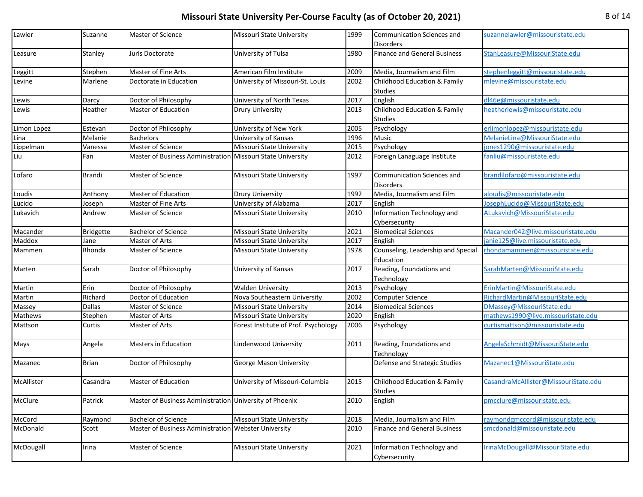| Lawler      | Suzanne          | <b>Master of Science</b>                                | Missouri State University            | 1999 | <b>Communication Sciences and</b>                     | suzannelawler@missouristate.edu      |
|-------------|------------------|---------------------------------------------------------|--------------------------------------|------|-------------------------------------------------------|--------------------------------------|
|             |                  |                                                         |                                      |      | <b>Disorders</b>                                      |                                      |
| Leasure     | Stanley          | Juris Doctorate                                         | University of Tulsa                  | 1980 | <b>Finance and General Business</b>                   | StanLeasure@MissouriState.edu        |
| Leggitt     | Stephen          | Master of Fine Arts                                     | American Film Institute              | 2009 | Media, Journalism and Film                            | stephenleggitt@missouristate.edu     |
| Levine      | Marlene          | Doctorate in Education                                  | University of Missouri-St. Louis     | 2002 | Childhood Education & Family<br><b>Studies</b>        | mlevine@missouristate.edu            |
| Lewis       | Darcy            | Doctor of Philosophy                                    | University of North Texas            | 2017 | English                                               | dl46e@missouristate.edu              |
| Lewis       | Heather          | Master of Education                                     | <b>Drury University</b>              | 2013 | Childhood Education & Family<br><b>Studies</b>        | heatherlewis@missouristate.edu       |
| Limon Lopez | Estevan          | Doctor of Philosophy                                    | University of New York               | 2005 | Psychology                                            | erlimonlopez@missouristate.edu       |
| Lina        | Melanie          | <b>Bachelors</b>                                        | University of Kansas                 | 1996 | <b>Music</b>                                          | MelanieLina@MissouriState.edu        |
| Lippelman   | Vanessa          | Master of Science                                       | Missouri State University            | 2015 | Psychology                                            | jones1290@missouristate.edu          |
| Liu         | Fan              | Master of Business Administration                       | Missouri State University            | 2012 | Foreign Lanaguage Institute                           | fanliu@missouristate.edu             |
| Lofaro      | Brandi           | Master of Science                                       | Missouri State University            | 1997 | <b>Communication Sciences and</b><br><b>Disorders</b> | brandilofaro@missouristate.edu       |
| Loudis      | Anthony          | Master of Education                                     | <b>Drury University</b>              | 1992 | Media, Journalism and Film                            | aloudis@missouristate.edu            |
| Lucido      | Joseph           | <b>Master of Fine Arts</b>                              | University of Alabama                | 2017 | English                                               | JosephLucido@MissouriState.edu       |
| Lukavich    | Andrew           | Master of Science                                       | Missouri State University            | 2010 | Information Technology and<br>Cybersecurity           | ALukavich@MissouriState.edu          |
| Macander    | <b>Bridgette</b> | <b>Bachelor of Science</b>                              | Missouri State University            | 2021 | <b>Biomedical Sciences</b>                            | Macander042@live.missouristate.edu   |
| Maddox      | Jane             | Master of Arts                                          | Missouri State University            | 2017 | English                                               | janie125@live.missouristate.edu      |
| Mammen      | Rhonda           | Master of Science                                       | Missouri State University            | 1978 | Counseling, Leadership and Special<br>Education       | rhondamammen@missouristate.edu       |
| Marten      | Sarah            | Doctor of Philosophy                                    | University of Kansas                 | 2017 | Reading, Foundations and<br>Technology                | SarahMarten@MissouriState.edu        |
| Martin      | Erin             | Doctor of Philosophy                                    | <b>Walden University</b>             | 2013 | Psychology                                            | ErinMartin@MissouriState.edu         |
| Martin      | Richard          | Doctor of Education                                     | Nova Southeastern University         | 2002 | Computer Science                                      | RichardMartin@MissouriState.edu      |
| Massey      | Dallas           | Master of Science                                       | Missouri State University            | 2014 | <b>Biomedical Sciences</b>                            | DMassey@MissouriState.edu            |
| Mathews     | Stephen          | Master of Arts                                          | Missouri State University            | 2020 | English                                               | mathews1990@live.missouristate.edu   |
| Mattson     | Curtis           | Master of Arts                                          | Forest Institute of Prof. Psychology | 2006 | Psychology                                            | curtismattson@missouristate.edu      |
| Mays        | Angela           | <b>Masters in Education</b>                             | Lindenwood University                | 2011 | Reading, Foundations and<br>Technology                | AngelaSchmidt@MissouriState.edu      |
| Mazanec     | <b>Brian</b>     | Doctor of Philosophy                                    | George Mason University              |      | Defense and Strategic Studies                         | Mazanec1@MissouriState.edu           |
| McAllister  | Casandra         | Master of Education                                     | University of Missouri-Columbia      | 2015 | Childhood Education & Family<br><b>Studies</b>        | CasandraMcAllister@MissouriState.edu |
| McClure     | Patrick          | Master of Business Administration University of Phoenix |                                      | 2010 | English                                               | pmcclure@missouristate.edu           |
| McCord      | Raymond          | <b>Bachelor of Science</b>                              | Missouri State University            | 2018 | Media, Journalism and Film                            | raymondgmccord@missouristate.edu     |
| McDonald    | Scott            | Master of Business Administration                       | <b>Webster University</b>            | 2010 | <b>Finance and General Business</b>                   | smcdonald@missouristate.edu          |
| McDougall   | Irina            | Master of Science                                       | Missouri State University            | 2021 | Information Technology and<br>Cybersecurity           | IrinaMcDougall@MissouriState.edu     |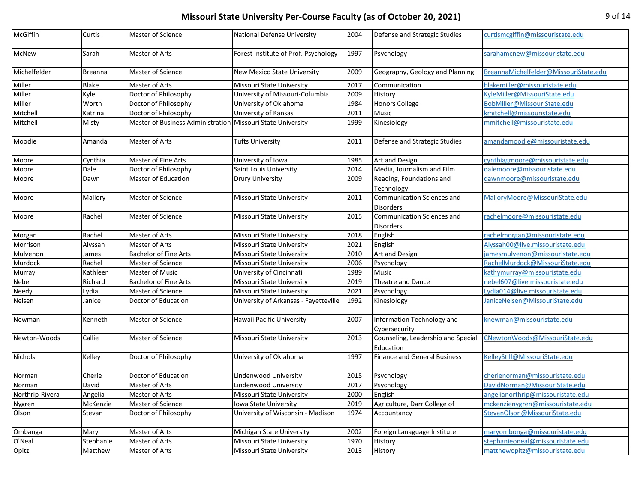| McGiffin        | Curtis       | Master of Science                 | National Defense University           | 2004 | Defense and Strategic Studies                         | curtismcgiffin@missouristate.edu      |
|-----------------|--------------|-----------------------------------|---------------------------------------|------|-------------------------------------------------------|---------------------------------------|
| McNew           | Sarah        | <b>Master of Arts</b>             | Forest Institute of Prof. Psychology  | 1997 | Psychology                                            | sarahamcnew@missouristate.edu         |
| Michelfelder    | Breanna      | Master of Science                 | <b>New Mexico State University</b>    | 2009 | Geography, Geology and Planning                       | BreannaMichelfelder@MissouriState.edu |
| Miller          | <b>Blake</b> | Master of Arts                    | Missouri State University             | 2017 | Communication                                         | blakemiller@missouristate.edu         |
| Miller          | Kyle         | Doctor of Philosophy              | University of Missouri-Columbia       | 2009 | History                                               | KyleMiller@MissouriState.edu          |
| Miller          | Worth        | Doctor of Philosophy              | University of Oklahoma                | 1984 | <b>Honors College</b>                                 | BobMiller@MissouriState.edu           |
| Mitchell        | Katrina      | Doctor of Philosophy              | University of Kansas                  | 2011 | Music                                                 | kmitchell@missouristate.edu           |
| Mitchell        | Misty        | Master of Business Administration | Missouri State University             | 1999 | Kinesiology                                           | mmitchell@missouristate.edu           |
| Moodie          | Amanda       | <b>Master of Arts</b>             | Tufts University                      | 2011 | Defense and Strategic Studies                         | amandamoodie@missouristate.edu        |
| Moore           | Cynthia      | Master of Fine Arts               | University of Iowa                    | 1985 | Art and Design                                        | cynthiagmoore@missouristate.edu       |
| Moore           | Dale         | Doctor of Philosophy              | Saint Louis University                | 2014 | Media, Journalism and Film                            | dalemoore@missouristate.edu           |
| Moore           | Dawn         | Master of Education               | <b>Drury University</b>               | 2009 | Reading, Foundations and<br>Technology                | dawnmoore@missouristate.edu           |
| Moore           | Mallory      | Master of Science                 | Missouri State University             | 2011 | <b>Communication Sciences and</b><br><b>Disorders</b> | MalloryMoore@MissouriState.edu        |
| Moore           | Rachel       | Master of Science                 | Missouri State University             | 2015 | <b>Communication Sciences and</b><br><b>Disorders</b> | rachelmoore@missouristate.edu         |
| Morgan          | Rachel       | Master of Arts                    | Missouri State University             | 2018 | English                                               | rachelmorgan@missouristate.edu        |
| Morrison        | Alyssah      | Master of Arts                    | Missouri State University             | 2021 | English                                               | Alyssah00@live.missouristate.edu      |
| Mulvenon        | James        | <b>Bachelor of Fine Arts</b>      | Missouri State University             | 2010 | Art and Design                                        | jamesmulvenon@missouristate.edu       |
| Murdock         | Rachel       | Master of Science                 | Missouri State University             | 2006 | Psychology                                            | RachelMurdock@MissouriState.edu       |
| Murray          | Kathleen     | Master of Music                   | University of Cincinnati              | 1989 | Music                                                 | kathymurray@missouristate.edu         |
| Nebel           | Richard      | <b>Bachelor of Fine Arts</b>      | Missouri State University             | 2019 | Theatre and Dance                                     | nebel607@live.missouristate.edu       |
| Needy           | Lydia        | Master of Science                 | Missouri State University             | 2021 | Psychology                                            | Lydia014@live.missouristate.edu       |
| Nelsen          | Janice       | Doctor of Education               | University of Arkansas - Fayetteville | 1992 | Kinesiology                                           | JaniceNelsen@MissouriState.edu        |
| Newman          | Kenneth      | Master of Science                 | Hawaii Pacific University             | 2007 | Information Technology and<br>Cybersecurity           | knewman@missouristate.edu             |
| Newton-Woods    | Callie       | Master of Science                 | Missouri State University             | 2013 | Counseling, Leadership and Special<br>Education       | CNewtonWoods@MissouriState.edu        |
| Nichols         | Kelley       | Doctor of Philosophy              | University of Oklahoma                | 1997 | <b>Finance and General Business</b>                   | KelleyStill@MissouriState.edu         |
| Norman          | Cherie       | Doctor of Education               | Lindenwood University                 | 2015 | Psychology                                            | cherienorman@missouristate.edu        |
| Norman          | David        | Master of Arts                    | Lindenwood University                 | 2017 | Psychology                                            | DavidNorman@MissouriState.edu         |
| Northrip-Rivera | Angelia      | Master of Arts                    | Missouri State University             | 2000 | <b>English</b>                                        | angelianorthrip@missouristate.edu     |
| <b>Nygren</b>   | McKenzie     | Master of Science                 | Iowa State University                 | 2019 | Agriculture, Darr College of                          | mckenzienygren@missouristate.edu      |
| Olson           | Stevan       | Doctor of Philosophy              | University of Wisconsin - Madison     | 1974 | Accountancy                                           | StevanOlson@MissouriState.edu         |
| Ombanga         | Mary         | Master of Arts                    | Michigan State University             | 2002 | Foreign Lanaguage Institute                           | maryombonga@missouristate.edu         |
| O'Neal          | Stephanie    | Master of Arts                    | Missouri State University             | 1970 | History                                               | stephanieoneal@missouristate.edu      |
| Opitz           | Matthew      | Master of Arts                    | Missouri State University             | 2013 | History                                               | matthewopitz@missouristate.edu        |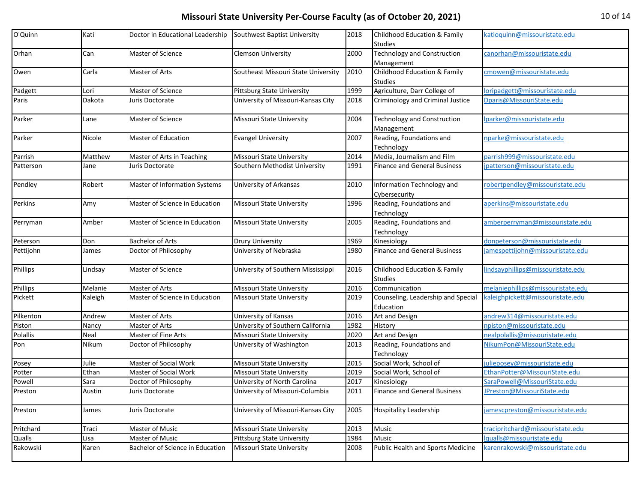| O'Quinn   | Kati    | Doctor in Educational Leadership Southwest Baptist University |                                     | 2018 | Childhood Education & Family                     | katioquinn@missouristate.edu      |
|-----------|---------|---------------------------------------------------------------|-------------------------------------|------|--------------------------------------------------|-----------------------------------|
|           |         |                                                               |                                     |      | <b>Studies</b>                                   |                                   |
| Orhan     | Can     | Master of Science                                             | <b>Clemson University</b>           | 2000 | <b>Technology and Construction</b>               | canorhan@missouristate.edu        |
|           |         |                                                               |                                     |      | Management                                       |                                   |
| Owen      | Carla   | Master of Arts                                                | Southeast Missouri State University | 2010 | Childhood Education & Family                     | cmowen@missouristate.edu          |
|           |         |                                                               |                                     |      | <b>Studies</b>                                   |                                   |
| Padgett   | Lori    | Master of Science                                             | <b>Pittsburg State University</b>   | 1999 | Agriculture, Darr College of                     | loripadgett@missouristate.edu     |
| Paris     | Dakota  | Juris Doctorate                                               | University of Missouri-Kansas City  | 2018 | Criminology and Criminal Justice                 | Dparis@MissouriState.edu          |
| Parker    | Lane    | <b>Master of Science</b>                                      | Missouri State University           | 2004 | <b>Technology and Construction</b><br>Management | lparker@missouristate.edu         |
| Parker    | Nicole  | Master of Education                                           | <b>Evangel University</b>           | 2007 | Reading, Foundations and<br>Technology           | nparke@missouristate.edu          |
| Parrish   | Matthew | Master of Arts in Teaching                                    | Missouri State University           | 2014 | Media, Journalism and Film                       | parrish999@missouristate.edu      |
| Patterson | Jane    | Juris Doctorate                                               | Southern Methodist University       | 1991 | <b>Finance and General Business</b>              | jpatterson@missouristate.edu      |
| Pendley   | Robert  | Master of Information Systems                                 | University of Arkansas              | 2010 | Information Technology and<br>Cybersecurity      | robertpendley@missouristate.edu   |
| Perkins   | Amy     | Master of Science in Education                                | Missouri State University           | 1996 | Reading, Foundations and<br>Technology           | aperkins@missouristate.edu        |
| Perryman  | Amber   | Master of Science in Education                                | Missouri State University           | 2005 | Reading, Foundations and<br>Technology           | amberperryman@missouristate.edu   |
| Peterson  | Don     | <b>Bachelor of Arts</b>                                       | Drury University                    | 1969 | Kinesiology                                      | donpeterson@missouristate.edu     |
| Pettijohn | James   | Doctor of Philosophy                                          | University of Nebraska              | 1980 | <b>Finance and General Business</b>              | jamespettijohn@missouristate.edu  |
| Phillips  | Lindsay | Master of Science                                             | University of Southern Mississippi  | 2016 | Childhood Education & Family<br><b>Studies</b>   | lindsayphillips@missouristate.edu |
| Phillips  | Melanie | Master of Arts                                                | Missouri State University           | 2016 | Communication                                    | melaniephillips@missouristate.edu |
| Pickett   | Kaleigh | Master of Science in Education                                | Missouri State University           | 2019 | Counseling, Leadership and Special<br>Education  | kaleighpickett@missouristate.edu  |
| Pilkenton | Andrew  | Master of Arts                                                | University of Kansas                | 2016 | Art and Design                                   | andrew314@missouristate.edu       |
| Piston    | Nancy   | Master of Arts                                                | University of Southern California   | 1982 | History                                          | npiston@missouristate.edu         |
| Polallis  | Neal    | Master of Fine Arts                                           | Missouri State University           | 2020 | Art and Design                                   | nealpolallis@missouristate.edu    |
| Pon       | Nikum   | Doctor of Philosophy                                          | University of Washington            | 2013 | Reading, Foundations and<br>Technology           | NikumPon@MissouriState.edu        |
| Posey     | Julie   | Master of Social Work                                         | Missouri State University           | 2015 | Social Work, School of                           | julieposey@missouristate.edu      |
| Potter    | Ethan   | Master of Social Work                                         | Missouri State University           | 2019 | Social Work, School of                           | EthanPotter@MissouriState.edu     |
| Powell    | Sara    | Doctor of Philosophy                                          | University of North Carolina        | 2017 | Kinesiology                                      | SaraPowell@MissouriState.edu      |
| Preston   | Austin  | Juris Doctorate                                               | University of Missouri-Columbia     | 2011 | <b>Finance and General Business</b>              | JPreston@MissouriState.edu        |
| Preston   | James   | Juris Doctorate                                               | University of Missouri-Kansas City  | 2005 | <b>Hospitality Leadership</b>                    | jamescpreston@missouristate.edu   |
| Pritchard | Traci   | Master of Music                                               | Missouri State University           | 2013 | Music                                            | tracipritchard@missouristate.edu  |
| Qualls    | Lisa    | Master of Music                                               | <b>Pittsburg State University</b>   | 1984 | <b>Music</b>                                     | lqualls@missouristate.edu         |
| Rakowski  | Karen   | Bachelor of Science in Education                              | Missouri State University           | 2008 | Public Health and Sports Medicine                | karenrakowski@missouristate.edu   |
|           |         |                                                               |                                     |      |                                                  |                                   |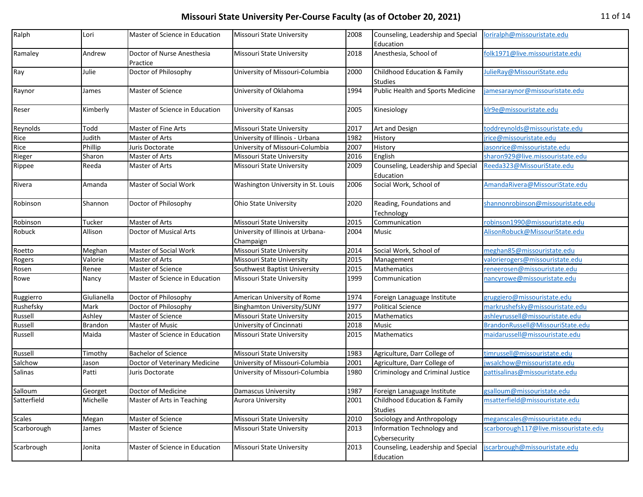| Ralph       | Lori           | Master of Science in Education         | Missouri State University                      | 2008 | Counseling, Leadership and Special<br>Education | loriralph@missouristate.edu           |
|-------------|----------------|----------------------------------------|------------------------------------------------|------|-------------------------------------------------|---------------------------------------|
| Ramaley     | Andrew         | Doctor of Nurse Anesthesia<br>Practice | <b>Missouri State University</b>               | 2018 | Anesthesia, School of                           | folk1971@live.missouristate.edu       |
| Ray         | Julie          | Doctor of Philosophy                   | University of Missouri-Columbia                | 2000 | Childhood Education & Family<br><b>Studies</b>  | JulieRay@MissouriState.edu            |
| Raynor      | James          | Master of Science                      | University of Oklahoma                         | 1994 | <b>Public Health and Sports Medicine</b>        | jamesaraynor@missouristate.edu        |
| Reser       | Kimberly       | Master of Science in Education         | University of Kansas                           | 2005 | Kinesiology                                     | klr9e@missouristate.edu               |
| Reynolds    | Todd           | Master of Fine Arts                    | Missouri State University                      | 2017 | Art and Design                                  | toddreynolds@missouristate.edu        |
| Rice        | Judith         | Master of Arts                         | University of Illinois - Urbana                | 1982 | History                                         | jrice@missouristate.edu               |
| Rice        | Phillip        | Juris Doctorate                        | University of Missouri-Columbia                | 2007 | History                                         | jasonrice@missouristate.edu           |
| Rieger      | Sharon         | Master of Arts                         | Missouri State University                      | 2016 | English                                         | sharon929@live.missouristate.edu      |
| Rippee      | Reeda          | Master of Arts                         | Missouri State University                      | 2009 | Counseling, Leadership and Special<br>Education | Reeda323@MissouriState.edu            |
| Rivera      | Amanda         | Master of Social Work                  | Washington University in St. Louis             | 2006 | Social Work, School of                          | AmandaRivera@MissouriState.edu        |
| Robinson    | Shannon        | Doctor of Philosophy                   | <b>Ohio State University</b>                   | 2020 | Reading, Foundations and<br>Technology          | shannonrobinson@missouristate.edu     |
| Robinson    | Tucker         | Master of Arts                         | Missouri State University                      | 2015 | Communication                                   | robinson1990@missouristate.edu        |
| Robuck      | Allison        | Doctor of Musical Arts                 | University of Illinois at Urbana-<br>Champaign | 2004 | Music                                           | AlisonRobuck@MissouriState.edu        |
| Roetto      | Meghan         | Master of Social Work                  | Missouri State University                      | 2014 | Social Work, School of                          | meghan85@missouristate.edu            |
| Rogers      | Valorie        | Master of Arts                         | Missouri State University                      | 2015 | Management                                      | valorierogers@missouristate.edu       |
| Rosen       | Renee          | Master of Science                      | Southwest Baptist University                   | 2015 | <b>Mathematics</b>                              | reneerosen@missouristate.edu          |
| Rowe        | Nancy          | Master of Science in Education         | Missouri State University                      | 1999 | Communication                                   | nancyrowe@missouristate.edu           |
| Ruggierro   | Giulianella    | Doctor of Philosophy                   | American University of Rome                    | 1974 | Foreign Lanaguage Institute                     | gruggiero@missouristate.edu           |
| Rushefsky   | Mark           | Doctor of Philosophy                   | <b>Binghamton University/SUNY</b>              | 1977 | <b>Political Science</b>                        | markrushefsky@missouristate.edu       |
| Russell     | Ashley         | Master of Science                      | Missouri State University                      | 2015 | Mathematics                                     | ashleyrussell@missouristate.edu       |
| Russell     | <b>Brandon</b> | Master of Music                        | University of Cincinnati                       | 2018 | Music                                           | BrandonRussell@MissouriState.edu      |
| Russell     | Maida          | Master of Science in Education         | Missouri State University                      | 2015 | <b>Mathematics</b>                              | maidarussell@missouristate.edu        |
| Russell     | Timothy        | <b>Bachelor of Science</b>             | Missouri State University                      | 1983 | Agriculture, Darr College of                    | timrussell@missouristate.edu          |
| Salchow     | Jason          | Doctor of Veterinary Medicine          | University of Missouri-Columbia                | 2001 | Agriculture, Darr College of                    | jwsalchow@missouristate.edu           |
| Salinas     | Patti          | Juris Doctorate                        | University of Missouri-Columbia                | 1980 | Criminology and Criminal Justice                | pattisalinas@missouristate.edu        |
| Salloum     | Georget        | Doctor of Medicine                     | Damascus University                            | 1987 | Foreign Lanaguage Institute                     | gsalloum@missouristate.edu            |
| Satterfield | Michelle       | Master of Arts in Teaching             | Aurora University                              | 2001 | Childhood Education & Family<br><b>Studies</b>  | msatterfield@missouristate.edu        |
| Scales      | Megan          | Master of Science                      | Missouri State University                      | 2010 | Sociology and Anthropology                      | meganscales@missouristate.edu         |
| Scarborough | James          | Master of Science                      | Missouri State University                      | 2013 | Information Technology and<br>Cybersecurity     | scarborough117@live.missouristate.edu |
| Scarbrough  | Jonita         | Master of Science in Education         | Missouri State University                      | 2013 | Counseling, Leadership and Special<br>Education | jscarbrough@missouristate.edu         |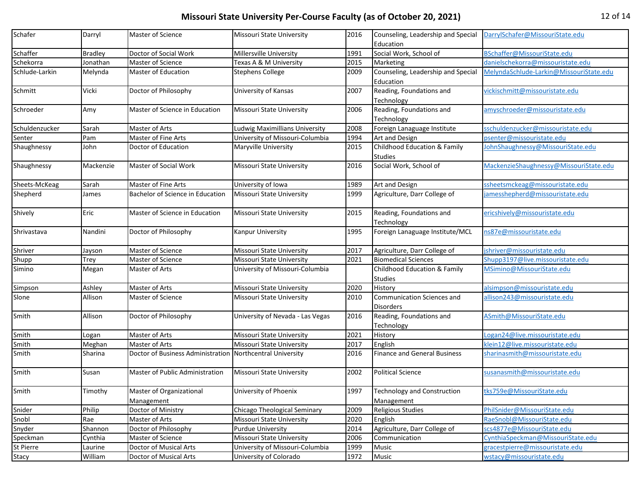| Schafer        | Darryl         | Master of Science                                         | <b>Missouri State University</b> | 2016 | Counseling, Leadership and Special<br>Education | DarrylSchafer@MissouriState.edu         |
|----------------|----------------|-----------------------------------------------------------|----------------------------------|------|-------------------------------------------------|-----------------------------------------|
| Schaffer       | <b>Bradley</b> | Doctor of Social Work                                     | Millersville University          | 1991 | Social Work, School of                          | BSchaffer@MissouriState.edu             |
| Schekorra      | Jonathan       | Master of Science                                         | Texas A & M University           | 2015 | Marketing                                       | danielschekorra@missouristate.edu       |
| Schlude-Larkin | Melynda        | <b>Master of Education</b>                                | <b>Stephens College</b>          | 2009 | Counseling, Leadership and Special              | MelyndaSchlude-Larkin@MissouriState.edu |
|                |                |                                                           |                                  |      | Education                                       |                                         |
| Schmitt        | Vicki          | Doctor of Philosophy                                      | University of Kansas             | 2007 | Reading, Foundations and                        | vickischmitt@missouristate.edu          |
|                |                |                                                           |                                  |      | Technology                                      |                                         |
| Schroeder      | Amy            | Master of Science in Education                            | <b>Missouri State University</b> | 2006 | Reading, Foundations and                        | amyschroeder@missouristate.edu          |
|                |                |                                                           |                                  |      | Technology                                      |                                         |
| Schuldenzucker | Sarah          | Master of Arts                                            | Ludwig Maximillians University   | 2008 | Foreign Lanaguage Institute                     | sschuldenzucker@missouristate.edu       |
| Senter         | Pam            | Master of Fine Arts                                       | University of Missouri-Columbia  | 1994 | Art and Design                                  | psenter@missouristate.edu               |
| Shaughnessy    | John           | Doctor of Education                                       | Maryville University             | 2015 | Childhood Education & Family                    | JohnShaughnessy@MissouriState.edu       |
|                |                |                                                           |                                  |      | <b>Studies</b>                                  |                                         |
| Shaughnessy    | Mackenzie      | Master of Social Work                                     | Missouri State University        | 2016 | Social Work, School of                          | MackenzieShaughnessy@MissouriState.edu  |
|                |                |                                                           |                                  |      |                                                 |                                         |
| Sheets-McKeag  | Sarah          | Master of Fine Arts                                       | University of Iowa               | 1989 | Art and Design                                  | ssheetsmckeag@missouristate.edu         |
| Shepherd       | James          | Bachelor of Science in Education                          | <b>Missouri State University</b> | 1999 | Agriculture, Darr College of                    | jamesshepherd@missouristate.edu         |
|                |                |                                                           |                                  |      |                                                 |                                         |
| Shively        | Eric           | Master of Science in Education                            | <b>Missouri State University</b> | 2015 | Reading, Foundations and                        | ericshively@missouristate.edu           |
|                |                |                                                           |                                  |      | Technology                                      |                                         |
| Shrivastava    | Nandini        | Doctor of Philosophy                                      | <b>Kanpur University</b>         | 1995 | Foreign Lanaguage Institute/MCL                 | ns87e@missouristate.edu                 |
|                |                |                                                           |                                  |      |                                                 |                                         |
| Shriver        | Jayson         | Master of Science                                         | Missouri State University        | 2017 | Agriculture, Darr College of                    | jshriver@missouristate.edu              |
| Shupp          | Trey           | Master of Science                                         | Missouri State University        | 2021 | <b>Biomedical Sciences</b>                      | Shupp3197@live.missouristate.edu        |
| Simino         | Megan          | Master of Arts                                            | University of Missouri-Columbia  |      | Childhood Education & Family                    | MSimino@MissouriState.edu               |
|                |                |                                                           |                                  |      | <b>Studies</b>                                  |                                         |
| Simpson        | Ashley         | Master of Arts                                            | Missouri State University        | 2020 | History                                         | alsimpson@missouristate.edu             |
| Slone          | Allison        | Master of Science                                         | Missouri State University        | 2010 | <b>Communication Sciences and</b>               | allison243@missouristate.edu            |
|                |                |                                                           |                                  |      | <b>Disorders</b>                                |                                         |
| Smith          | Allison        | Doctor of Philosophy                                      | University of Nevada - Las Vegas | 2016 | Reading, Foundations and                        | ASmith@MissouriState.edu                |
|                |                |                                                           |                                  |      | Technology                                      |                                         |
| Smith          | Logan          | Master of Arts                                            | <b>Missouri State University</b> | 2021 | History                                         | Logan24@live.missouristate.edu          |
| Smith          | Meghan         | <b>Master of Arts</b>                                     | Missouri State University        | 2017 | English                                         | klein12@live.missouristate.edu          |
| Smith          | Sharina        | Doctor of Business Administration Northcentral University |                                  | 2016 | <b>Finance and General Business</b>             | sharinasmith@missouristate.edu          |
|                |                |                                                           |                                  |      |                                                 |                                         |
| Smith          | Susan          | Master of Public Administration                           | Missouri State University        | 2002 | <b>Political Science</b>                        | susanasmith@missouristate.edu           |
|                |                |                                                           |                                  |      |                                                 |                                         |
| Smith          | Timothy        | Master of Organizational                                  | University of Phoenix            | 1997 | <b>Technology and Construction</b>              | tks759e@MissouriState.edu               |
|                |                | Management                                                |                                  |      | Management                                      |                                         |
| Snider         | Philip         | Doctor of Ministry                                        | Chicago Theological Seminary     | 2009 | <b>Religious Studies</b>                        | PhilSnider@MissouriState.edu            |
| Snobl          | Rae            | Master of Arts                                            | Missouri State University        | 2020 | English                                         | RaeSnobl@MissouriState.edu              |
| Snyder         | Shannon        | Doctor of Philosophy                                      | <b>Purdue University</b>         | 2014 | Agriculture, Darr College of                    | scs4877e@MissouriState.edu              |
| Speckman       | Cynthia        | Master of Science                                         | Missouri State University        | 2006 | Communication                                   | CynthiaSpeckman@MissouriState.edu       |
| St Pierre      | Laurine        | Doctor of Musical Arts                                    | University of Missouri-Columbia  | 1999 | Music                                           | gracestpierre@missouristate.edu         |
| Stacy          | William        | Doctor of Musical Arts                                    | University of Colorado           | 1972 | Music                                           | wstacy@missouristate.edu                |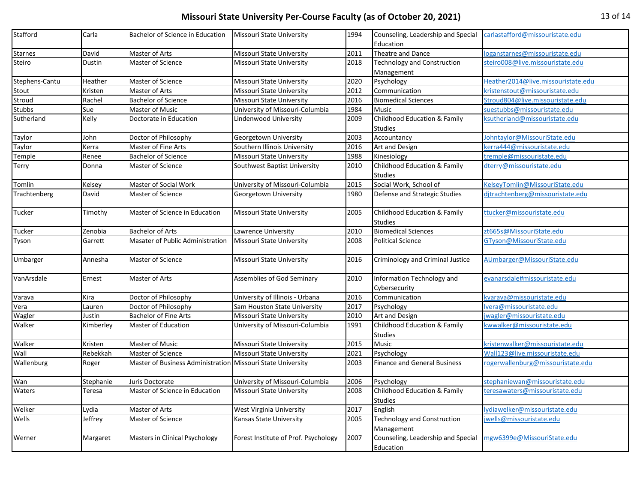| Stafford       | Carla     | Bachelor of Science in Education Missouri State University  |                                      | 1994 | Counseling, Leadership and Special carlastafford@missouristate.edu |                                    |
|----------------|-----------|-------------------------------------------------------------|--------------------------------------|------|--------------------------------------------------------------------|------------------------------------|
|                |           |                                                             |                                      |      | Education                                                          |                                    |
| Starnes        | David     | Master of Arts                                              | Missouri State University            | 2011 | Theatre and Dance                                                  | loganstarnes@missouristate.edu     |
| Steiro         | Dustin    | Master of Science                                           | Missouri State University            | 2018 | <b>Technology and Construction</b>                                 | steiro008@live.missouristate.edu   |
|                |           |                                                             |                                      |      | Management                                                         |                                    |
| Stephens-Cantu | Heather   | Master of Science                                           | Missouri State University            | 2020 | Psychology                                                         | Heather2014@live.missouristate.edu |
| Stout          | Kristen   | Master of Arts                                              | Missouri State University            | 2012 | Communication                                                      | kristenstout@missouristate.edu     |
| Stroud         | Rachel    | <b>Bachelor of Science</b>                                  | Missouri State University            | 2016 | <b>Biomedical Sciences</b>                                         | Stroud804@live.missouristate.edu   |
| Stubbs         | Sue       | Master of Music                                             | University of Missouri-Columbia      | 1984 | Music                                                              | suestubbs@missouristate.edu        |
| Sutherland     | Kelly     | Doctorate in Education                                      | Lindenwood University                | 2009 | <b>Childhood Education &amp; Family</b>                            | ksutherland@missouristate.edu      |
|                |           |                                                             |                                      |      | <b>Studies</b>                                                     |                                    |
| Taylor         | John      | Doctor of Philosophy                                        | Georgetown University                | 2003 | Accountancy                                                        | Johntaylor@MissouriState.edu       |
| Taylor         | Kerra     | Master of Fine Arts                                         | Southern Illinois University         | 2016 | Art and Design                                                     | kerra 444@missouristate.edu        |
| Temple         | Renee     | <b>Bachelor of Science</b>                                  | Missouri State University            | 1988 | Kinesiology                                                        | tremple@missouristate.edu          |
| Terry          | Donna     | Master of Science                                           | Southwest Baptist University         | 2010 | <b>Childhood Education &amp; Family</b>                            | dterry@missouristate.edu           |
|                |           |                                                             |                                      |      | <b>Studies</b>                                                     |                                    |
| Tomlin         | Kelsey    | Master of Social Work                                       | University of Missouri-Columbia      | 2015 | Social Work, School of                                             | KelseyTomlin@MissouriState.edu     |
| Trachtenberg   | David     | Master of Science                                           | Georgetown University                | 1980 | Defense and Strategic Studies                                      | ditrachtenberg@missouristate.edu   |
|                |           |                                                             |                                      |      |                                                                    |                                    |
| Tucker         | Timothy   | Master of Science in Education                              | Missouri State University            | 2005 | Childhood Education & Family                                       | ttucker@missouristate.edu          |
|                |           |                                                             |                                      |      | <b>Studies</b>                                                     |                                    |
| Tucker         | Zenobia   | <b>Bachelor of Arts</b>                                     | Lawrence University                  | 2010 | <b>Biomedical Sciences</b>                                         | zt665s@MissouriState.edu           |
| Tyson          | Garrett   | Masater of Public Administration                            | Missouri State University            | 2008 | <b>Political Science</b>                                           | GTyson@MissouriState.edu           |
|                |           |                                                             |                                      |      |                                                                    |                                    |
| Umbarger       | Annesha   | Master of Science                                           | Missouri State University            | 2016 | Criminology and Criminal Justice                                   | AUmbarger@MissouriState.edu        |
|                |           |                                                             |                                      |      |                                                                    |                                    |
| VanArsdale     | Ernest    | Master of Arts                                              | Assemblies of God Seminary           | 2010 | Information Technology and                                         | evanarsdale#missouristate.edu      |
|                |           |                                                             |                                      |      | Cybersecurity                                                      |                                    |
| Varava         | Kira      | Doctor of Philosophy                                        | University of Illinois - Urbana      | 2016 | Communication                                                      | kvarava@missouristate.edu          |
| Vera           | Lauren    | Doctor of Philosophy                                        | Sam Houston State University         | 2017 | Psychology                                                         | lvera@missouristate.edu            |
| Wagler         | Justin    | <b>Bachelor of Fine Arts</b>                                | Missouri State University            | 2010 | Art and Design                                                     | iwagler@missouristate.edu          |
| Walker         | Kimberley | Master of Education                                         | University of Missouri-Columbia      | 1991 | Childhood Education & Family                                       | kwwalker@missouristate.edu         |
|                |           |                                                             |                                      |      | Studies                                                            |                                    |
| Walker         | Kristen   | Master of Music                                             | Missouri State University            | 2015 | <b>Music</b>                                                       | kristen walker@missouristate.edu   |
| Wall           | Rebekkah  | Master of Science                                           | Missouri State University            | 2021 | Psychology                                                         | Wall123@live.missouristate.edu     |
| Wallenburg     | Roger     | Master of Business Administration Missouri State University |                                      | 2003 | <b>Finance and General Business</b>                                | rogerwallenburg@missouristate.edu  |
|                |           |                                                             |                                      |      |                                                                    |                                    |
| Wan            | Stephanie | Juris Doctorate                                             | University of Missouri-Columbia      | 2006 | Psychology                                                         | stephaniewan@missouristate.edu     |
| Waters         | Teresa    | Master of Science in Education                              | Missouri State University            | 2008 | Childhood Education & Family                                       | :eresawaters@missouristate.edu     |
|                |           |                                                             |                                      |      | Studies                                                            |                                    |
| Welker         | Lydia     | Master of Arts                                              | West Virginia University             | 2017 | English                                                            | lydiawelker@missouristate.edu      |
| Wells          | Jeffrey   | Master of Science                                           | Kansas State University              | 2005 | <b>Technology and Construction</b>                                 | iwells@missouristate.edu           |
|                |           |                                                             |                                      |      | Management                                                         |                                    |
| Werner         | Margaret  | Masters in Clinical Psychology                              | Forest Institute of Prof. Psychology | 2007 | Counseling, Leadership and Special                                 | mgw6399e@MissouriState.edu         |
|                |           |                                                             |                                      |      | Education                                                          |                                    |
|                |           |                                                             |                                      |      |                                                                    |                                    |